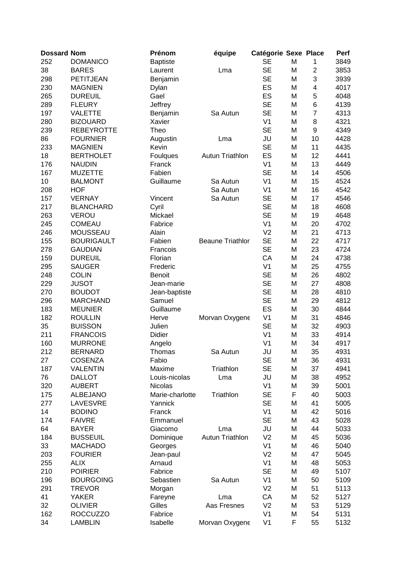| <b>Dossard Nom</b> |                   | Prénom          | équipe                  | Catégorie Sexe Place |   |                         | Perf |
|--------------------|-------------------|-----------------|-------------------------|----------------------|---|-------------------------|------|
| 252                | <b>DOMANICO</b>   | <b>Baptiste</b> |                         | <b>SE</b>            | M | 1                       | 3849 |
| 38                 | <b>BARES</b>      | Laurent         | Lma                     | <b>SE</b>            | M | $\overline{c}$          | 3853 |
| 298                | PETITJEAN         | Benjamin        |                         | <b>SE</b>            | M | 3                       | 3939 |
| 230                | <b>MAGNIEN</b>    | Dylan           |                         | ES                   | M | $\overline{\mathbf{4}}$ | 4017 |
| 265                | <b>DUREUIL</b>    | Gael            |                         | ES                   | M | 5                       | 4048 |
| 289                | <b>FLEURY</b>     | Jeffrey         |                         | <b>SE</b>            | M | 6                       | 4139 |
| 197                | <b>VALETTE</b>    | Benjamin        | Sa Autun                | <b>SE</b>            | M | $\overline{7}$          | 4313 |
| 280                | <b>BIZOUARD</b>   | Xavier          |                         | V <sub>1</sub>       | M | 8                       | 4321 |
| 239                | <b>REBEYROTTE</b> | Theo            |                         | <b>SE</b>            | M | 9                       | 4349 |
| 86                 | <b>FOURNIER</b>   | Augustin        | Lma                     | JU                   | M | 10                      | 4428 |
| 233                | <b>MAGNIEN</b>    | Kevin           |                         | <b>SE</b>            | M | 11                      | 4435 |
| 18                 | <b>BERTHOLET</b>  | Foulques        | <b>Autun Triathlon</b>  | ES                   | M | 12                      | 4441 |
| 176                | <b>NAUDIN</b>     | Franck          |                         | V <sub>1</sub>       | M | 13                      | 4449 |
| 167                |                   | Fabien          |                         | <b>SE</b>            |   | 14                      | 4506 |
|                    | <b>MUZETTE</b>    |                 |                         |                      | M |                         |      |
| 10                 | <b>BALMONT</b>    | Guillaume       | Sa Autun                | V <sub>1</sub>       | M | 15                      | 4524 |
| 208                | <b>HOF</b>        |                 | Sa Autun                | V <sub>1</sub>       | M | 16                      | 4542 |
| 157                | <b>VERNAY</b>     | Vincent         | Sa Autun                | <b>SE</b>            | M | 17                      | 4546 |
| 217                | <b>BLANCHARD</b>  | Cyril           |                         | <b>SE</b>            | M | 18                      | 4608 |
| 263                | <b>VEROU</b>      | Mickael         |                         | <b>SE</b>            | M | 19                      | 4648 |
| 245                | <b>COMEAU</b>     | Fabrice         |                         | V <sub>1</sub>       | M | 20                      | 4702 |
| 246                | MOUSSEAU          | Alain           |                         | V <sub>2</sub>       | M | 21                      | 4713 |
| 155                | <b>BOURIGAULT</b> | Fabien          | <b>Beaune Triathlor</b> | <b>SE</b>            | M | 22                      | 4717 |
| 278                | <b>GAUDIAN</b>    | Francois        |                         | <b>SE</b>            | M | 23                      | 4724 |
| 159                | <b>DUREUIL</b>    | Florian         |                         | CA                   | M | 24                      | 4738 |
| 295                | <b>SAUGER</b>     | Frederic        |                         | V <sub>1</sub>       | M | 25                      | 4755 |
| 248                | <b>COLIN</b>      | <b>Benoit</b>   |                         | <b>SE</b>            | M | 26                      | 4802 |
| 229                | <b>JUSOT</b>      | Jean-marie      |                         | <b>SE</b>            | M | 27                      | 4808 |
| 270                | <b>BOUDOT</b>     | Jean-baptiste   |                         | <b>SE</b>            | M | 28                      | 4810 |
| 296                | <b>MARCHAND</b>   | Samuel          |                         | <b>SE</b>            | M | 29                      | 4812 |
| 183                | <b>MEUNIER</b>    | Guillaume       |                         | ES                   | M | 30                      | 4844 |
| 182                | <b>ROULLIN</b>    | Herve           | Morvan Oxygene          | V <sub>1</sub>       | M | 31                      | 4846 |
| 35                 | <b>BUISSON</b>    | Julien          |                         | <b>SE</b>            | M | 32                      | 4903 |
| 211                | <b>FRANCOIS</b>   | Didier          |                         | V <sub>1</sub>       | M | 33                      | 4914 |
| 160                | <b>MURRONE</b>    | Angelo          |                         | V <sub>1</sub>       | M | 34                      | 4917 |
| 212                | <b>BERNARD</b>    | Thomas          | Sa Autun                | JU                   | M | 35                      | 4931 |
| 27                 | <b>COSENZA</b>    | Fabio           |                         | <b>SE</b>            | M | 36                      | 4931 |
| 187                | <b>VALENTIN</b>   | Maxime          | Triathlon               | <b>SE</b>            | M | 37                      | 4941 |
| 76                 | <b>DALLOT</b>     | Louis-nicolas   | Lma                     | JU                   | M | 38                      | 4952 |
| 320                | <b>AUBERT</b>     | <b>Nicolas</b>  |                         | V <sub>1</sub>       | M | 39                      | 5001 |
| 175                | <b>ALBEJANO</b>   | Marie-charlotte | Triathlon               | <b>SE</b>            | F | 40                      | 5003 |
| 277                | LAVESVRE          | Yannick         |                         | <b>SE</b>            | M | 41                      | 5005 |
| 14                 | <b>BODINO</b>     | Franck          |                         | V <sub>1</sub>       | M | 42                      | 5016 |
| 174                | <b>FAIVRE</b>     | Emmanuel        |                         | <b>SE</b>            | M | 43                      | 5028 |
| 64                 | <b>BAYER</b>      | Giacomo         | Lma                     | JU                   | M | 44                      | 5033 |
| 184                | <b>BUSSEUIL</b>   | Dominique       | <b>Autun Triathlon</b>  | V <sub>2</sub>       | M | 45                      | 5036 |
| 33                 | <b>MACHADO</b>    | Georges         |                         | V <sub>1</sub>       | M | 46                      | 5040 |
| 203                | <b>FOURIER</b>    | Jean-paul       |                         | V <sub>2</sub>       | M | 47                      | 5045 |
| 255                | <b>ALIX</b>       | Arnaud          |                         | V <sub>1</sub>       | M | 48                      | 5053 |
| 210                | <b>POIRIER</b>    | Fabrice         |                         | <b>SE</b>            | M | 49                      |      |
|                    |                   |                 |                         | V <sub>1</sub>       |   |                         | 5107 |
| 196                | <b>BOURGOING</b>  | Sebastien       | Sa Autun                |                      | M | 50                      | 5109 |
| 291                | <b>TREVOR</b>     | Morgan          |                         | V <sub>2</sub>       | M | 51                      | 5113 |
| 41                 | <b>YAKER</b>      | Fareyne         | Lma                     | CA                   | M | 52                      | 5127 |
| 32                 | <b>OLIVIER</b>    | Gilles          | Aas Fresnes             | V <sub>2</sub>       | M | 53                      | 5129 |
| 162                | <b>ROCCUZZO</b>   | Fabrice         |                         | V <sub>1</sub>       | M | 54                      | 5131 |
| 34                 | <b>LAMBLIN</b>    | Isabelle        | Morvan Oxygene          | V <sub>1</sub>       | F | 55                      | 5132 |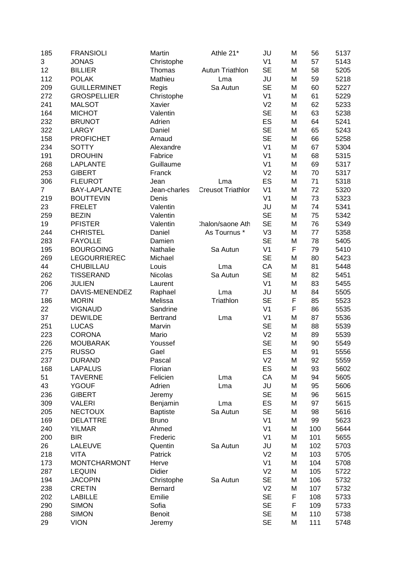| 185            | <b>FRANSIOLI</b>    | Martin          | Athle 21*                | JU             | M         | 56  | 5137 |
|----------------|---------------------|-----------------|--------------------------|----------------|-----------|-----|------|
| 3              | <b>JONAS</b>        | Christophe      |                          | V <sub>1</sub> | M         | 57  | 5143 |
| 12             | <b>BILLIER</b>      | Thomas          | Autun Triathlon          | <b>SE</b>      | M         | 58  | 5205 |
| 112            | <b>POLAK</b>        | Mathieu         | Lma                      | JU             | M         | 59  | 5218 |
| 209            | <b>GUILLERMINET</b> | Regis           | Sa Autun                 | <b>SE</b>      | M         | 60  | 5227 |
| 272            | <b>GROSPELLIER</b>  | Christophe      |                          | V <sub>1</sub> | M         | 61  | 5229 |
| 241            | <b>MALSOT</b>       | Xavier          |                          | V <sub>2</sub> | M         | 62  | 5233 |
| 164            | <b>MICHOT</b>       | Valentin        |                          | <b>SE</b>      | M         | 63  | 5238 |
| 232            | <b>BRUNOT</b>       | Adrien          |                          | ES             | M         | 64  | 5241 |
| 322            | LARGY               | Daniel          |                          | <b>SE</b>      | M         | 65  | 5243 |
| 158            | <b>PROFICHET</b>    | Arnaud          |                          | <b>SE</b>      | M         | 66  | 5258 |
| 234            | <b>SOTTY</b>        | Alexandre       |                          | V <sub>1</sub> | M         | 67  | 5304 |
| 191            | <b>DROUHIN</b>      | Fabrice         |                          | V <sub>1</sub> | M         | 68  | 5315 |
| 268            | <b>LAPLANTE</b>     | Guillaume       |                          | V <sub>1</sub> | M         | 69  | 5317 |
|                |                     |                 |                          |                |           |     |      |
| 253            | <b>GIBERT</b>       | Franck          |                          | V <sub>2</sub> | M         | 70  | 5317 |
| 306            | <b>FLEUROT</b>      | Jean            | Lma                      | ES             | M         | 71  | 5318 |
| $\overline{7}$ | <b>BAY-LAPLANTE</b> | Jean-charles    | <b>Creusot Triathlor</b> | V <sub>1</sub> | M         | 72  | 5320 |
| 219            | <b>BOUTTEVIN</b>    | Denis           |                          | V <sub>1</sub> | M         | 73  | 5323 |
| 23             | <b>FRELET</b>       | Valentin        |                          | JU             | M         | 74  | 5341 |
| 259            | <b>BEZIN</b>        | Valentin        |                          | <b>SE</b>      | M         | 75  | 5342 |
| 19             | <b>PFISTER</b>      | Valentin        | :halon/saone Ath         | <b>SE</b>      | M         | 76  | 5349 |
| 244            | <b>CHRISTEL</b>     | Daniel          | As Tournus *             | V <sub>3</sub> | M         | 77  | 5358 |
| 283            | <b>FAYOLLE</b>      | Damien          |                          | <b>SE</b>      | M         | 78  | 5405 |
| 195            | <b>BOURGOING</b>    | Nathalie        | Sa Autun                 | V <sub>1</sub> | F         | 79  | 5410 |
| 269            | <b>LEGOURRIEREC</b> | Michael         |                          | <b>SE</b>      | M         | 80  | 5423 |
| 44             | CHUBILLAU           | Louis           | Lma                      | CA             | M         | 81  | 5448 |
| 262            | <b>TISSERAND</b>    | Nicolas         | Sa Autun                 | <b>SE</b>      | M         | 82  | 5451 |
| 206            | <b>JULIEN</b>       | Laurent         |                          | V <sub>1</sub> | M         | 83  | 5455 |
| 77             | DAVIS-MENENDEZ      | Raphael         | Lma                      | JU             | M         | 84  | 5505 |
| 186            | <b>MORIN</b>        | Melissa         | Triathlon                | <b>SE</b>      | F         | 85  | 5523 |
| 22             | <b>VIGNAUD</b>      | Sandrine        |                          | V <sub>1</sub> | F         | 86  | 5535 |
| 37             | <b>DEWILDE</b>      | <b>Bertrand</b> | Lma                      | V <sub>1</sub> | M         | 87  | 5536 |
| 251            | <b>LUCAS</b>        | Marvin          |                          | <b>SE</b>      | M         | 88  | 5539 |
| 223            | <b>CORONA</b>       | Mario           |                          | V <sub>2</sub> | M         | 89  | 5539 |
| 226            | <b>MOUBARAK</b>     | Youssef         |                          | <b>SE</b>      | M         | 90  | 5549 |
| 275            | <b>RUSSO</b>        | Gael            |                          | ES             | M         | 91  | 5556 |
| 237            | <b>DURAND</b>       | Pascal          |                          | V <sub>2</sub> | ${\sf M}$ | 92  | 5559 |
| 168            | <b>LAPALUS</b>      | Florian         |                          | ES             | M         | 93  | 5602 |
| 51             | <b>TAVERNE</b>      | Felicien        | Lma                      | CA             | M         | 94  | 5605 |
| 43             | <b>YGOUF</b>        | Adrien          | Lma                      | JU             | M         | 95  | 5606 |
| 236            | <b>GIBERT</b>       | Jeremy          |                          | <b>SE</b>      | M         | 96  | 5615 |
| 309            | <b>VALERI</b>       | Benjamin        | Lma                      | ES             | M         | 97  | 5615 |
| 205            | <b>NECTOUX</b>      | <b>Baptiste</b> | Sa Autun                 | <b>SE</b>      | M         | 98  | 5616 |
| 169            | <b>DELATTRE</b>     | <b>Bruno</b>    |                          | V <sub>1</sub> | M         | 99  | 5623 |
| 240            | <b>YILMAR</b>       | Ahmed           |                          | V <sub>1</sub> | M         | 100 | 5644 |
| 200            | <b>BIR</b>          | Frederic        |                          | V <sub>1</sub> | M         | 101 | 5655 |
| 26             | LALEUVE             | Quentin         | Sa Autun                 | JU             | M         | 102 | 5703 |
| 218            | <b>VITA</b>         | Patrick         |                          | V <sub>2</sub> | M         | 103 | 5705 |
| 173            | <b>MONTCHARMONT</b> | Herve           |                          | V <sub>1</sub> | M         | 104 | 5708 |
| 287            | <b>LEQUIN</b>       | Didier          |                          | V <sub>2</sub> | M         | 105 | 5722 |
| 194            | <b>JACOPIN</b>      | Christophe      | Sa Autun                 | <b>SE</b>      | M         | 106 | 5732 |
| 238            | <b>CRETIN</b>       | Bernard         |                          | V <sub>2</sub> | M         | 107 | 5732 |
| 202            | <b>LABILLE</b>      | Emilie          |                          | <b>SE</b>      | F         | 108 |      |
| 290            | <b>SIMON</b>        | Sofia           |                          | <b>SE</b>      | F         | 109 | 5733 |
|                |                     |                 |                          |                |           |     | 5733 |
| 288            | <b>SIMON</b>        | <b>Benoit</b>   |                          | <b>SE</b>      | M         | 110 | 5738 |
| 29             | <b>VION</b>         | Jeremy          |                          | <b>SE</b>      | M         | 111 | 5748 |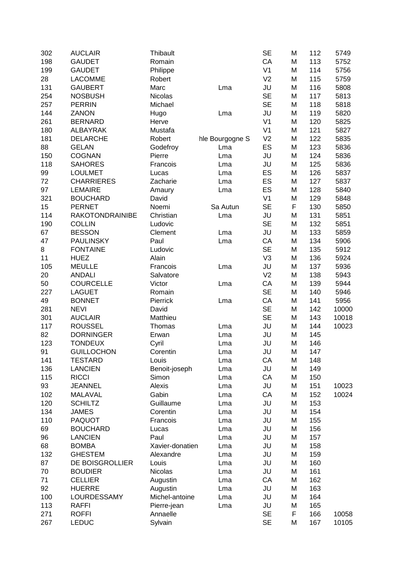| 302 | <b>AUCLAIR</b>         | Thibault        |                 | <b>SE</b>      | M | 112 | 5749  |
|-----|------------------------|-----------------|-----------------|----------------|---|-----|-------|
| 198 | <b>GAUDET</b>          | Romain          |                 | CA             | M | 113 | 5752  |
| 199 | <b>GAUDET</b>          | Philippe        |                 | V <sub>1</sub> | M | 114 | 5756  |
| 28  | <b>LACOMME</b>         | Robert          |                 | V <sub>2</sub> | M | 115 | 5759  |
| 131 | <b>GAUBERT</b>         | Marc            | Lma             | JU             | M | 116 | 5808  |
| 254 | <b>NOSBUSH</b>         | Nicolas         |                 | <b>SE</b>      | M | 117 | 5813  |
| 257 | <b>PERRIN</b>          | Michael         |                 | <b>SE</b>      | M | 118 | 5818  |
| 144 | ZANON                  | Hugo            | Lma             | JU             | M | 119 | 5820  |
| 261 | <b>BERNARD</b>         | Herve           |                 | V <sub>1</sub> | M | 120 | 5825  |
| 180 | <b>ALBAYRAK</b>        | Mustafa         |                 | V <sub>1</sub> | M | 121 | 5827  |
| 181 | <b>DELARCHE</b>        | Robert          | hle Bourgogne S | V <sub>2</sub> | M | 122 | 5835  |
| 88  | <b>GELAN</b>           | Godefroy        | Lma             | ES             | M | 123 | 5836  |
| 150 | <b>COGNAN</b>          | Pierre          | Lma             | JU             | M | 124 | 5836  |
| 118 | <b>SAHORES</b>         | Francois        |                 | JU             | M | 125 | 5836  |
|     |                        |                 | Lma             |                |   |     |       |
| 99  | <b>LOULMET</b>         | Lucas           | Lma             | ES             | M | 126 | 5837  |
| 72  | <b>CHARRIERES</b>      | Zacharie        | Lma             | ES             | M | 127 | 5837  |
| 97  | <b>LEMAIRE</b>         | Amaury          | Lma             | ES             | M | 128 | 5840  |
| 321 | <b>BOUCHARD</b>        | David           |                 | V <sub>1</sub> | M | 129 | 5848  |
| 15  | <b>PERNET</b>          | Noemi           | Sa Autun        | <b>SE</b>      | F | 130 | 5850  |
| 114 | <b>RAKOTONDRAINIBE</b> | Christian       | Lma             | JU             | M | 131 | 5851  |
| 190 | <b>COLLIN</b>          | Ludovic         |                 | <b>SE</b>      | M | 132 | 5851  |
| 67  | <b>BESSON</b>          | Clement         | Lma             | JU             | M | 133 | 5859  |
| 47  | <b>PAULINSKY</b>       | Paul            | Lma             | CA             | M | 134 | 5906  |
| 8   | <b>FONTAINE</b>        | Ludovic         |                 | <b>SE</b>      | M | 135 | 5912  |
| 11  | <b>HUEZ</b>            | Alain           |                 | V <sub>3</sub> | M | 136 | 5924  |
| 105 | <b>MEULLE</b>          | Francois        | Lma             | JU             | M | 137 | 5936  |
| 20  | <b>ANDALI</b>          | Salvatore       |                 | V <sub>2</sub> | M | 138 | 5943  |
| 50  | <b>COURCELLE</b>       | Victor          | Lma             | CA             | M | 139 | 5944  |
| 227 | <b>LAGUET</b>          | Romain          |                 | <b>SE</b>      | M | 140 | 5946  |
| 49  | <b>BONNET</b>          | Pierrick        | Lma             | CA             | M | 141 | 5956  |
| 281 | <b>NEVI</b>            | David           |                 | <b>SE</b>      | M | 142 | 10000 |
| 301 | <b>AUCLAIR</b>         | Matthieu        |                 | <b>SE</b>      | M | 143 | 10018 |
| 117 | <b>ROUSSEL</b>         | Thomas          | Lma             | JU             | M | 144 | 10023 |
| 82  | <b>DORNINGER</b>       | Erwan           | Lma             | JU             | M | 145 |       |
| 123 | <b>TONDEUX</b>         | Cyril           | Lma             | JU             | M | 146 |       |
| 91  | <b>GUILLOCHON</b>      | Corentin        | Lma             | JU             | M | 147 |       |
| 141 | <b>TESTARD</b>         | Louis           | Lma             | CA             | M | 148 |       |
| 136 | <b>LANCIEN</b>         | Benoit-joseph   | Lma             | JU             | M | 149 |       |
| 115 | <b>RICCI</b>           | Simon           | Lma             | CA             | M | 150 |       |
| 93  | <b>JEANNEL</b>         | Alexis          | Lma             | JU             | M | 151 | 10023 |
| 102 | MALAVAL                | Gabin           | Lma             | CA             | M | 152 | 10024 |
| 120 | <b>SCHILTZ</b>         | Guillaume       | Lma             | JU             | M | 153 |       |
| 134 | <b>JAMES</b>           | Corentin        | Lma             | JU             | M | 154 |       |
| 110 | <b>PAQUOT</b>          | Francois        | Lma             | JU             | M | 155 |       |
| 69  | <b>BOUCHARD</b>        | Lucas           | Lma             | JU             | M | 156 |       |
| 96  | <b>LANCIEN</b>         | Paul            | Lma             | JU             | M | 157 |       |
| 68  | <b>BOMBA</b>           | Xavier-donatien | Lma             | JU             | M | 158 |       |
| 132 | <b>GHESTEM</b>         | Alexandre       | Lma             | JU             | M | 159 |       |
| 87  |                        | Louis           |                 | JU             | M | 160 |       |
| 70  | DE BOISGROLLIER        |                 | Lma             | JU             |   | 161 |       |
|     | <b>BOUDIER</b>         | Nicolas         | Lma             |                | M |     |       |
| 71  | <b>CELLIER</b>         | Augustin        | Lma             | CA             | M | 162 |       |
| 92  | <b>HUERRE</b>          | Augustin        | Lma             | JU             | M | 163 |       |
| 100 | LOURDESSAMY            | Michel-antoine  | Lma             | JU             | M | 164 |       |
| 113 | <b>RAFFI</b>           | Pierre-jean     | Lma             | JU             | M | 165 |       |
| 271 | <b>ROFFI</b>           | Annaelle        |                 | <b>SE</b>      | F | 166 | 10058 |
| 267 | <b>LEDUC</b>           | Sylvain         |                 | <b>SE</b>      | M | 167 | 10105 |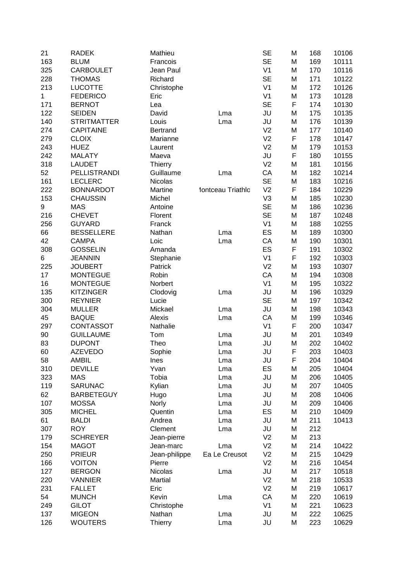| 21  | <b>RADEK</b>       | Mathieu        |                   | <b>SE</b>      | M | 168 | 10106 |
|-----|--------------------|----------------|-------------------|----------------|---|-----|-------|
| 163 | <b>BLUM</b>        | Francois       |                   | <b>SE</b>      | M | 169 | 10111 |
| 325 | <b>CARBOULET</b>   | Jean Paul      |                   | V <sub>1</sub> | M | 170 | 10116 |
| 228 | <b>THOMAS</b>      | Richard        |                   | <b>SE</b>      | M | 171 | 10122 |
| 213 | <b>LUCOTTE</b>     | Christophe     |                   | V <sub>1</sub> | M | 172 | 10126 |
| 1   | <b>FEDERICO</b>    | Eric           |                   | V <sub>1</sub> | M | 173 | 10128 |
| 171 | <b>BERNOT</b>      | Lea            |                   | <b>SE</b>      | F | 174 | 10130 |
| 122 | <b>SEIDEN</b>      | David          | Lma               | JU             | M | 175 | 10135 |
| 140 | <b>STRITMATTER</b> | Louis          | Lma               | JU             | M | 176 | 10139 |
| 274 | <b>CAPITAINE</b>   | Bertrand       |                   | V <sub>2</sub> | M | 177 | 10140 |
| 279 | <b>CLOIX</b>       | Marianne       |                   | V <sub>2</sub> | F | 178 | 10147 |
| 243 | <b>HUEZ</b>        | Laurent        |                   | V <sub>2</sub> | M | 179 | 10153 |
| 242 | <b>MALATY</b>      | Maeva          |                   | JU             | F | 180 | 10155 |
| 318 | <b>LAUDET</b>      | <b>Thierry</b> |                   | V <sub>2</sub> | M | 181 | 10156 |
| 52  | PELLISTRANDI       | Guillaume      | Lma               | CA             | M | 182 | 10214 |
| 161 | <b>LECLERC</b>     | Nicolas        |                   | <b>SE</b>      | M | 183 | 10216 |
| 222 | <b>BONNARDOT</b>   | Martine        | lontceau Triathlo | V <sub>2</sub> | F | 184 | 10229 |
| 153 | <b>CHAUSSIN</b>    | Michel         |                   | V <sub>3</sub> | M | 185 | 10230 |
| 9   | <b>MAS</b>         | Antoine        |                   | <b>SE</b>      | M | 186 | 10236 |
| 216 | <b>CHEVET</b>      | Florent        |                   | <b>SE</b>      | M | 187 | 10248 |
| 256 | <b>GUYARD</b>      | Franck         |                   | V <sub>1</sub> | M | 188 | 10255 |
| 66  | <b>BESSELLERE</b>  | Nathan         | Lma               | ES             | M | 189 | 10300 |
| 42  | <b>CAMPA</b>       | Loic           | Lma               | CA             | M | 190 | 10301 |
| 308 | <b>GOSSELIN</b>    | Amanda         |                   | ES             | F | 191 | 10302 |
| 6   | <b>JEANNIN</b>     | Stephanie      |                   | V <sub>1</sub> | F | 192 | 10303 |
| 225 | <b>JOUBERT</b>     | Patrick        |                   | V <sub>2</sub> | M | 193 | 10307 |
| 17  | <b>MONTEGUE</b>    | Robin          |                   | CA             | M | 194 | 10308 |
| 16  | <b>MONTEGUE</b>    | Norbert        |                   | V <sub>1</sub> | M | 195 | 10322 |
| 135 | <b>KITZINGER</b>   | Clodovig       | Lma               | JU             | M | 196 | 10329 |
| 300 | <b>REYNIER</b>     | Lucie          |                   | <b>SE</b>      | M | 197 | 10342 |
| 304 | <b>MULLER</b>      | Mickael        | Lma               | JU             | M | 198 | 10343 |
| 45  | <b>BAQUE</b>       | Alexis         | Lma               | CA             | M | 199 | 10346 |
| 297 | <b>CONTASSOT</b>   | Nathalie       |                   | V <sub>1</sub> | F | 200 | 10347 |
| 90  | <b>GUILLAUME</b>   | Tom            | Lma               | JU             | M | 201 | 10349 |
| 83  | <b>DUPONT</b>      | Theo           | Lma               | JU             | M | 202 | 10402 |
| 60  | <b>AZEVEDO</b>     | Sophie         | Lma               | JU             | F | 203 | 10403 |
| 58  | <b>AMBIL</b>       | Ines           | Lma               | JU             | F | 204 | 10404 |
| 310 | <b>DEVILLE</b>     | Yvan           | Lma               | ES             | M | 205 | 10404 |
| 323 | <b>MAS</b>         | Tobia          | Lma               | JU             | M | 206 | 10405 |
| 119 | <b>SARUNAC</b>     | Kylian         | Lma               | JU             | M | 207 | 10405 |
| 62  | <b>BARBETEGUY</b>  | Hugo           | Lma               | JU             | M | 208 | 10406 |
| 107 | <b>MOSSA</b>       | Norly          | Lma               | JU             | M | 209 | 10406 |
| 305 | <b>MICHEL</b>      | Quentin        | Lma               | ES             | M | 210 | 10409 |
| 61  | <b>BALDI</b>       | Andrea         | Lma               | JU             | M | 211 | 10413 |
| 307 | <b>ROY</b>         | Clement        | Lma               | JU             | M | 212 |       |
| 179 | <b>SCHREYER</b>    | Jean-pierre    |                   | V <sub>2</sub> | M | 213 |       |
| 154 | <b>MAGOT</b>       | Jean-marc      | Lma               | V <sub>2</sub> | M | 214 | 10422 |
| 250 | <b>PRIEUR</b>      | Jean-philippe  | Ea Le Creusot     | V <sub>2</sub> | M | 215 | 10429 |
| 166 | <b>VOITON</b>      | Pierre         |                   | V <sub>2</sub> | M | 216 | 10454 |
| 127 | <b>BERGON</b>      | Nicolas        | Lma               | JU             | M | 217 | 10518 |
| 220 | <b>VANNIER</b>     | Martial        |                   | V <sub>2</sub> | M | 218 | 10533 |
| 231 | <b>FALLET</b>      | Eric           |                   | V <sub>2</sub> | M | 219 | 10617 |
| 54  | <b>MUNCH</b>       | Kevin          | Lma               | CA             | M | 220 | 10619 |
| 249 | <b>GILOT</b>       | Christophe     |                   | V <sub>1</sub> | M | 221 | 10623 |
| 137 | <b>MIGEON</b>      | Nathan         | Lma               | JU             | M | 222 | 10625 |
| 126 | <b>WOUTERS</b>     | <b>Thierry</b> | Lma               | JU             | M | 223 | 10629 |
|     |                    |                |                   |                |   |     |       |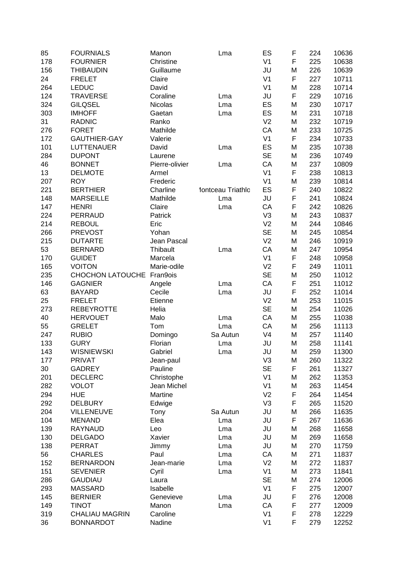| 85  | <b>FOURNIALS</b>            | Manon          | Lma               | ES             | F | 224 | 10636 |
|-----|-----------------------------|----------------|-------------------|----------------|---|-----|-------|
| 178 | <b>FOURNIER</b>             | Christine      |                   | V <sub>1</sub> | F | 225 | 10638 |
| 156 | <b>THIBAUDIN</b>            | Guillaume      |                   | JU             | M | 226 | 10639 |
| 24  | <b>FRELET</b>               | Claire         |                   | V <sub>1</sub> | F | 227 | 10711 |
| 264 | <b>LEDUC</b>                | David          |                   | V <sub>1</sub> | M | 228 | 10714 |
| 124 | <b>TRAVERSE</b>             | Coraline       | Lma               | JU             | F | 229 | 10716 |
| 324 | <b>GILQSEL</b>              | Nicolas        | Lma               | ES             | M | 230 | 10717 |
| 303 | <b>IMHOFF</b>               | Gaetan         | Lma               | ES             | M | 231 | 10718 |
| 31  | <b>RADNIC</b>               | Ranko          |                   | V <sub>2</sub> | M | 232 | 10719 |
| 276 | <b>FORET</b>                | Mathilde       |                   | CA             | M | 233 | 10725 |
| 172 | <b>GAUTHIER-GAY</b>         | Valerie        |                   | V <sub>1</sub> | F | 234 | 10733 |
| 101 | <b>LUTTENAUER</b>           | David          | Lma               | ES             | M | 235 | 10738 |
| 284 | <b>DUPONT</b>               | Laurene        |                   | <b>SE</b>      | M | 236 | 10749 |
| 46  | <b>BONNET</b>               | Pierre-olivier | Lma               | CA             | M | 237 | 10809 |
| 13  | <b>DELMOTE</b>              | Armel          |                   | V <sub>1</sub> | F | 238 | 10813 |
| 207 | <b>ROY</b>                  | Frederic       |                   | V <sub>1</sub> | M | 239 | 10814 |
| 221 | <b>BERTHIER</b>             | Charline       | lontceau Triathlo | ES             | F | 240 | 10822 |
| 148 | <b>MARSEILLE</b>            | Mathilde       | Lma               | JU             | F | 241 | 10824 |
| 147 | <b>HENRI</b>                | Claire         | Lma               | CA             | F | 242 | 10826 |
| 224 | PERRAUD                     | Patrick        |                   | V <sub>3</sub> | M | 243 | 10837 |
| 214 | <b>REBOUL</b>               | Eric           |                   | V <sub>2</sub> | M | 244 | 10846 |
| 266 | <b>PREVOST</b>              | Yohan          |                   | <b>SE</b>      | M | 245 | 10854 |
| 215 | <b>DUTARTE</b>              | Jean Pascal    |                   | V <sub>2</sub> | M | 246 | 10919 |
| 53  | <b>BERNARD</b>              | Thibault       | Lma               | CA             | M | 247 | 10954 |
| 170 | <b>GUIDET</b>               | Marcela        |                   | V <sub>1</sub> | F | 248 | 10958 |
| 165 | <b>VOITON</b>               | Marie-odile    |                   | V <sub>2</sub> | F | 249 | 11011 |
| 235 | CHOCHON LATOUCHE            | Fran9ois       |                   | <b>SE</b>      | M | 250 | 11012 |
| 146 | <b>GAGNIER</b>              | Angele         | Lma               | CA             | F | 251 | 11012 |
| 63  | <b>BAYARD</b>               | Cecile         | Lma               | JU             | F | 252 | 11014 |
| 25  | <b>FRELET</b>               | Etienne        |                   | V <sub>2</sub> | M | 253 | 11015 |
| 273 | <b>REBEYROTTE</b>           | Helia          |                   | <b>SE</b>      | M | 254 | 11026 |
| 40  | <b>HERVOUET</b>             | Malo           | Lma               | CA             | M | 255 | 11038 |
| 55  | <b>GRELET</b>               | Tom            |                   | CA             | M | 256 | 11113 |
|     |                             |                | Lma               | V <sub>4</sub> |   | 257 |       |
| 247 | <b>RUBIO</b><br><b>GURY</b> | Domingo        | Sa Autun          |                | M |     | 11140 |
| 133 |                             | Florian        | Lma               | JU             | M | 258 | 11141 |
| 143 | <b>WISNIEWSKI</b>           | Gabriel        | Lma               | JU             | M | 259 | 11300 |
| 177 | <b>PRIVAT</b>               | Jean-paul      |                   | V <sub>3</sub> | M | 260 | 11322 |
| 30  | <b>GADREY</b>               | Pauline        |                   | <b>SE</b>      | F | 261 | 11327 |
| 201 | <b>DECLERC</b>              | Christophe     |                   | V <sub>1</sub> | M | 262 | 11353 |
| 282 | <b>VOLOT</b>                | Jean Michel    |                   | V <sub>1</sub> | M | 263 | 11454 |
| 294 | <b>HUE</b>                  | Martine        |                   | V <sub>2</sub> | F | 264 | 11454 |
| 292 | <b>DELBURY</b>              | Edwige         |                   | V <sub>3</sub> | F | 265 | 11520 |
| 204 | VILLENEUVE                  | Tony           | Sa Autun          | JU             | M | 266 | 11635 |
| 104 | <b>MENAND</b>               | Elea           | Lma               | JU             | F | 267 | 11636 |
| 139 | RAYNAUD                     | Leo            | Lma               | JU             | M | 268 | 11658 |
| 130 | <b>DELGADO</b>              | Xavier         | Lma               | JU             | M | 269 | 11658 |
| 138 | <b>PERRAT</b>               | Jimmy          | Lma               | JU             | M | 270 | 11759 |
| 56  | <b>CHARLES</b>              | Paul           | Lma               | CA             | M | 271 | 11837 |
| 152 | <b>BERNARDON</b>            | Jean-marie     | Lma               | V <sub>2</sub> | M | 272 | 11837 |
| 151 | <b>SEVENIER</b>             | Cyril          | Lma               | V <sub>1</sub> | M | 273 | 11841 |
| 286 | <b>GAUDIAU</b>              | Laura          |                   | <b>SE</b>      | M | 274 | 12006 |
| 293 | <b>MASSARD</b>              | Isabelle       |                   | V <sub>1</sub> | F | 275 | 12007 |
| 145 | <b>BERNIER</b>              | Genevieve      | Lma               | JU             | F | 276 | 12008 |
| 149 | <b>TINOT</b>                | Manon          | Lma               | CA             | F | 277 | 12009 |
| 319 | <b>CHALIAU MAGRIN</b>       | Caroline       |                   | V <sub>1</sub> | F | 278 | 12229 |
| 36  | <b>BONNARDOT</b>            | Nadine         |                   | V <sub>1</sub> | F | 279 | 12252 |